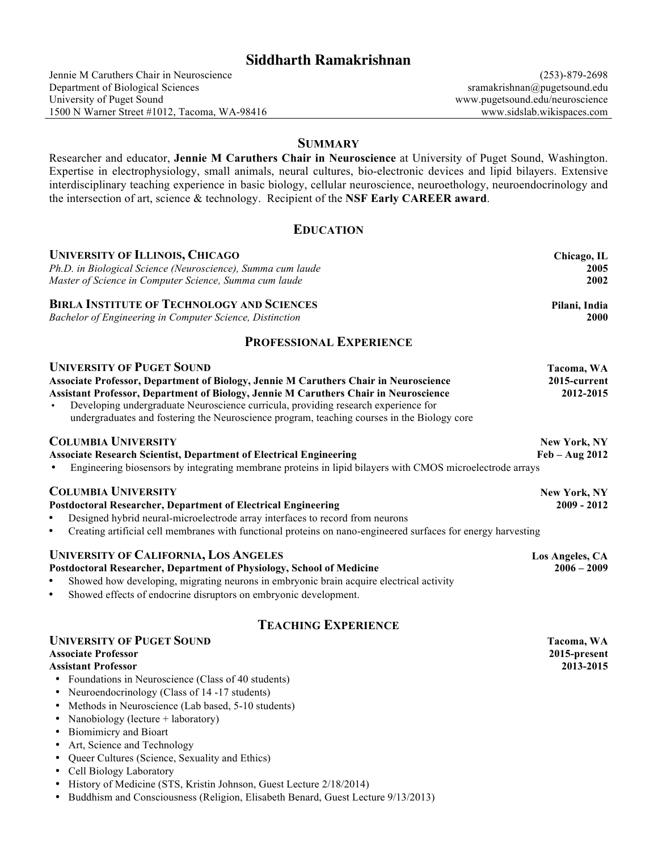# **Siddharth Ramakrishnan**

## **SUMMARY**

Researcher and educator, **Jennie M Caruthers Chair in Neuroscience** at University of Puget Sound, Washington. Expertise in electrophysiology, small animals, neural cultures, bio-electronic devices and lipid bilayers. Extensive interdisciplinary teaching experience in basic biology, cellular neuroscience, neuroethology, neuroendocrinology and the intersection of art, science & technology. Recipient of the **NSF Early CAREER award**.

## **EDUCATION**

| <b>UNIVERSITY OF ILLINOIS, CHICAGO</b>                                                                                     | Chicago, IL         |  |
|----------------------------------------------------------------------------------------------------------------------------|---------------------|--|
| Ph.D. in Biological Science (Neuroscience), Summa cum laude                                                                | 2005                |  |
| Master of Science in Computer Science, Summa cum laude                                                                     | 2002                |  |
| <b>BIRLA INSTITUTE OF TECHNOLOGY AND SCIENCES</b>                                                                          | Pilani, India       |  |
| Bachelor of Engineering in Computer Science, Distinction                                                                   | 2000                |  |
| <b>PROFESSIONAL EXPERIENCE</b>                                                                                             |                     |  |
| <b>UNIVERSITY OF PUGET SOUND</b>                                                                                           | Tacoma, WA          |  |
| <b>Associate Professor, Department of Biology, Jennie M Caruthers Chair in Neuroscience</b>                                | 2015-current        |  |
| <b>Assistant Professor, Department of Biology, Jennie M Caruthers Chair in Neuroscience</b>                                | 2012-2015           |  |
| Developing undergraduate Neuroscience curricula, providing research experience for                                         |                     |  |
| undergraduates and fostering the Neuroscience program, teaching courses in the Biology core                                |                     |  |
| <b>COLUMBIA UNIVERSITY</b>                                                                                                 | New York, NY        |  |
| <b>Associate Research Scientist, Department of Electrical Engineering</b>                                                  | $Feb - Aug 2012$    |  |
| Engineering biosensors by integrating membrane proteins in lipid bilayers with CMOS microelectrode arrays                  |                     |  |
| <b>COLUMBIA UNIVERSITY</b>                                                                                                 | <b>New York, NY</b> |  |
| <b>Postdoctoral Researcher, Department of Electrical Engineering</b>                                                       | $2009 - 2012$       |  |
| Designed hybrid neural-microelectrode array interfaces to record from neurons                                              |                     |  |
| Creating artificial cell membranes with functional proteins on nano-engineered surfaces for energy harvesting<br>$\bullet$ |                     |  |
| <b>UNIVERSITY OF CALIFORNIA, LOS ANGELES</b>                                                                               | Los Angeles, CA     |  |
| Postdoctoral Researcher, Department of Physiology, School of Medicine                                                      | $2006 - 2009$       |  |
| Showed how developing, migrating neurons in embryonic brain acquire electrical activity                                    |                     |  |
| Showed effects of endocrine disruptors on embryonic development.<br>$\bullet$                                              |                     |  |
| <b>TEACHING EXPERIENCE</b>                                                                                                 |                     |  |
| <b>UNIVERSITY OF PUGET SOUND</b>                                                                                           | Tacoma, WA          |  |
| <b>Associate Professor</b>                                                                                                 | 2015-present        |  |
| <b>Assistant Professor</b>                                                                                                 | 2013-2015           |  |
| • Foundations in Neuroscience (Class of 40 students)                                                                       |                     |  |
| • Neuroendocrinology (Class of 14 -17 students)                                                                            |                     |  |
| • Methods in Neuroscience (Lab based, 5-10 students)                                                                       |                     |  |
| Nanobiology (lecture $+$ laboratory)                                                                                       |                     |  |
| • Biomimicry and Bioart                                                                                                    |                     |  |

- Art, Science and Technology • Queer Cultures (Science, Sexuality and Ethics)
- Cell Biology Laboratory
- History of Medicine (STS, Kristin Johnson, Guest Lecture 2/18/2014)
- Buddhism and Consciousness (Religion, Elisabeth Benard, Guest Lecture 9/13/2013)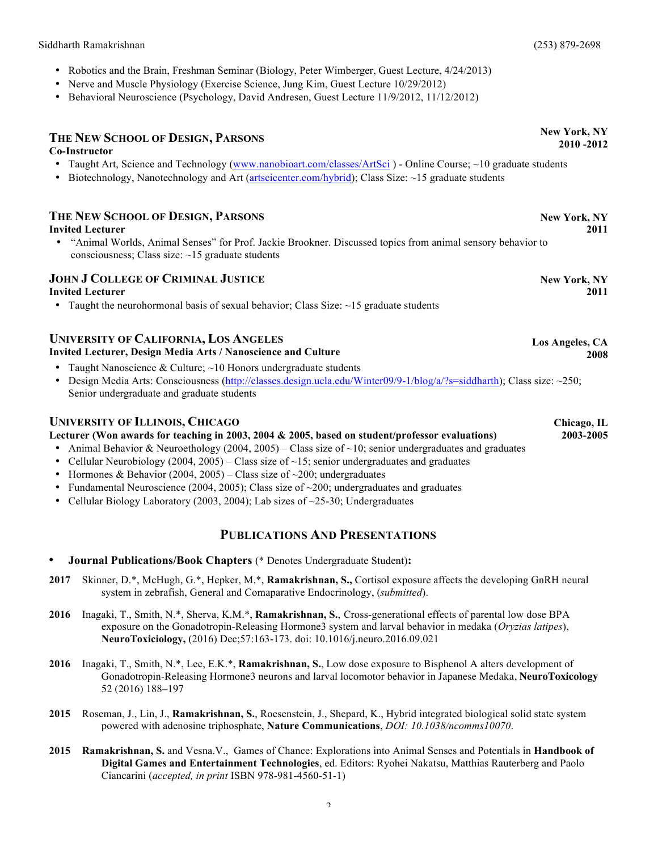- Robotics and the Brain, Freshman Seminar (Biology, Peter Wimberger, Guest Lecture, 4/24/2013)
- Nerve and Muscle Physiology (Exercise Science, Jung Kim, Guest Lecture 10/29/2012)
- Behavioral Neuroscience (Psychology, David Andresen, Guest Lecture 11/9/2012, 11/12/2012)

## **THE NEW SCHOOL OF DESIGN, PARSONS**

### **Co-Instructor**

- Taught Art, Science and Technology (www.nanobioart.com/classes/ArtSci) Online Course; ~10 graduate students
- Biotechnology, Nanotechnology and Art (artscicenter.com/hybrid); Class Size:  $\sim$ 15 graduate students

## **THE NEW SCHOOL OF DESIGN, PARSONS Invited Lecturer**

• "Animal Worlds, Animal Senses" for Prof. Jackie Brookner. Discussed topics from animal sensory behavior to consciousness; Class size: ~15 graduate students

### **JOHN J COLLEGE OF CRIMINAL JUSTICE Invited Lecturer**

• Taught the neurohormonal basis of sexual behavior; Class Size:  $\sim$ 15 graduate students

### **UNIVERSITY OF CALIFORNIA, LOS ANGELES Invited Lecturer, Design Media Arts / Nanoscience and Culture**

- Taught Nanoscience & Culture; ~10 Honors undergraduate students
- Design Media Arts: Consciousness (http://classes.design.ucla.edu/Winter09/9-1/blog/a/?s=siddharth); Class size: ~250; Senior undergraduate and graduate students

### **UNIVERSITY OF ILLINOIS, CHICAGO**

### **Lecturer (Won awards for teaching in 2003, 2004 & 2005, based on student/professor evaluations)**

- Animal Behavior & Neuroethology (2004, 2005) Class size of  $\sim$ 10; senior undergraduates and graduates
- Cellular Neurobiology (2004, 2005) Class size of  $\sim$  15; senior undergraduates and graduates
- Hormones & Behavior (2004, 2005) Class size of  $\sim$ 200; undergraduates
- Fundamental Neuroscience (2004, 2005); Class size of  $\sim$ 200; undergraduates and graduates
- Cellular Biology Laboratory (2003, 2004); Lab sizes of  $\sim$ 25-30; Undergraduates

## **PUBLICATIONS AND PRESENTATIONS**

- **Journal Publications/Book Chapters** (\* Denotes Undergraduate Student)**:**
- **2017** Skinner, D.\*, McHugh, G.\*, Hepker, M.\*, **Ramakrishnan, S.,** Cortisol exposure affects the developing GnRH neural system in zebrafish, General and Comaparative Endocrinology, (*submitted*).
- **2016** Inagaki, T., Smith, N.\*, Sherva, K.M.\*, **Ramakrishnan, S.**, Cross-generational effects of parental low dose BPA exposure on the Gonadotropin-Releasing Hormone3 system and larval behavior in medaka (*Oryzias latipes*), **NeuroToxiciology,** (2016) Dec;57:163-173. doi: 10.1016/j.neuro.2016.09.021
- **2016** Inagaki, T., Smith, N.\*, Lee, E.K.\*, **Ramakrishnan, S.**, Low dose exposure to Bisphenol A alters development of Gonadotropin-Releasing Hormone3 neurons and larval locomotor behavior in Japanese Medaka, **NeuroToxicology**  52 (2016) 188–197
- **2015** Roseman, J., Lin, J., **Ramakrishnan, S.**, Roesenstein, J., Shepard, K., Hybrid integrated biological solid state system powered with adenosine triphosphate, **Nature Communications**, *DOI: 10.1038/ncomms10070*.
- **2015 Ramakrishnan, S.** and Vesna.V., Games of Chance: Explorations into Animal Senses and Potentials in **Handbook of Digital Games and Entertainment Technologies**, ed. Editors: Ryohei Nakatsu, Matthias Rauterberg and Paolo Ciancarini (*accepted, in print* ISBN 978-981-4560-51-1)

**New York, NY 2011**

> **New York, NY 2011**

**Los Angeles, CA 2008**

> **Chicago, IL 2003-2005**

**New York, NY 2010 -2012**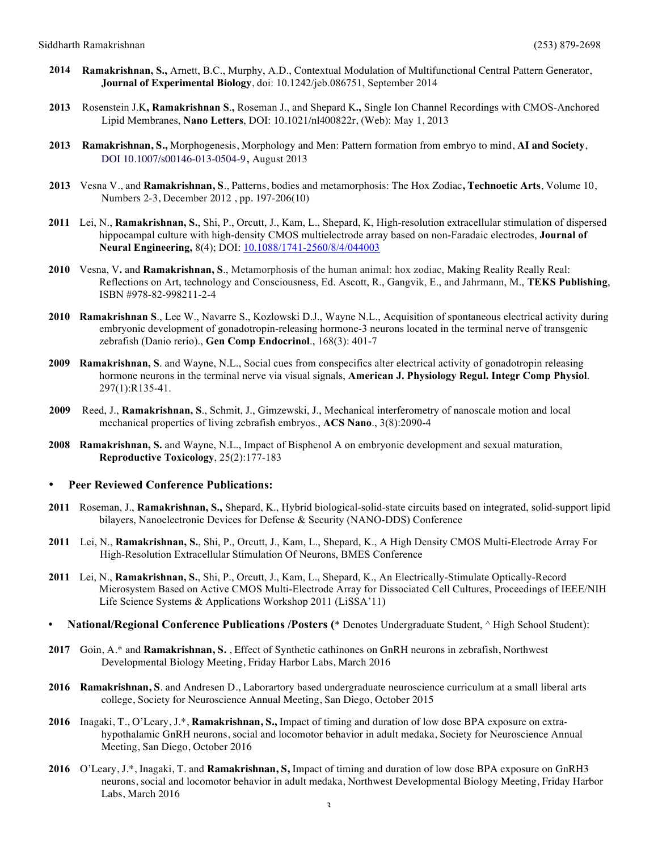- **2014 Ramakrishnan, S.,** Arnett, B.C., Murphy, A.D., Contextual Modulation of Multifunctional Central Pattern Generator, **Journal of Experimental Biology**, doi: 10.1242/jeb.086751, September 2014
- **2013** Rosenstein J.K**, Ramakrishnan S**.**,** Roseman J., and Shepard K**.,** Single Ion Channel Recordings with CMOS-Anchored Lipid Membranes, **Nano Letters**, DOI: 10.1021/nl400822r, (Web): May 1, 2013
- **2013 Ramakrishnan, S.,** Morphogenesis, Morphology and Men: Pattern formation from embryo to mind, **AI and Society**, DOI 10.1007/s00146-013-0504-9, August 2013
- **2013** Vesna V., and **Ramakrishnan, S**., Patterns, bodies and metamorphosis: The Hox Zodiac**, Technoetic Arts**, Volume 10, Numbers 2-3, December 2012 , pp. 197-206(10)
- **2011** Lei, N., **Ramakrishnan, S.**, Shi, P., Orcutt, J., Kam, L., Shepard, K, High-resolution extracellular stimulation of dispersed hippocampal culture with high-density CMOS multielectrode array based on non-Faradaic electrodes, **Journal of Neural Engineering,** 8(4); DOI: 10.1088/1741-2560/8/4/044003
- **2010** Vesna, V**.** and **Ramakrishnan, S**., Metamorphosis of the human animal: hox zodiac, Making Reality Really Real: Reflections on Art, technology and Consciousness, Ed. Ascott, R., Gangvik, E., and Jahrmann, M., **TEKS Publishing**, ISBN #978-82-998211-2-4
- **2010 Ramakrishnan S**., Lee W., Navarre S., Kozlowski D.J., Wayne N.L., Acquisition of spontaneous electrical activity during embryonic development of gonadotropin-releasing hormone-3 neurons located in the terminal nerve of transgenic zebrafish (Danio rerio)., **Gen Comp Endocrinol**., 168(3): 401-7
- **2009 Ramakrishnan, S**. and Wayne, N.L., Social cues from conspecifics alter electrical activity of gonadotropin releasing hormone neurons in the terminal nerve via visual signals, **American J. Physiology Regul. Integr Comp Physiol**. 297(1):R135-41.
- **2009** Reed, J., **Ramakrishnan, S**., Schmit, J., Gimzewski, J., Mechanical interferometry of nanoscale motion and local mechanical properties of living zebrafish embryos., **ACS Nano**., 3(8):2090-4
- **2008 Ramakrishnan, S.** and Wayne, N.L., Impact of Bisphenol A on embryonic development and sexual maturation, **Reproductive Toxicology**, 25(2):177-183

### • **Peer Reviewed Conference Publications:**

- **2011** Roseman, J., **Ramakrishnan, S.,** Shepard, K., Hybrid biological-solid-state circuits based on integrated, solid-support lipid bilayers, Nanoelectronic Devices for Defense & Security (NANO-DDS) Conference
- **2011** Lei, N., **Ramakrishnan, S.**, Shi, P., Orcutt, J., Kam, L., Shepard, K., A High Density CMOS Multi-Electrode Array For High-Resolution Extracellular Stimulation Of Neurons, BMES Conference
- **2011** Lei, N., **Ramakrishnan, S.**, Shi, P., Orcutt, J., Kam, L., Shepard, K., An Electrically-Stimulate Optically-Record Microsystem Based on Active CMOS Multi-Electrode Array for Dissociated Cell Cultures, Proceedings of IEEE/NIH Life Science Systems & Applications Workshop 2011 (LiSSA'11)
- **National/Regional Conference Publications /Posters (**\* Denotes Undergraduate Student, ^ High School Student):
- **2017** Goin, A.\* and **Ramakrishnan, S.** , Effect of Synthetic cathinones on GnRH neurons in zebrafish, Northwest Developmental Biology Meeting, Friday Harbor Labs, March 2016
- **2016 Ramakrishnan, S**. and Andresen D., Laborartory based undergraduate neuroscience curriculum at a small liberal arts college, Society for Neuroscience Annual Meeting, San Diego, October 2015
- **2016** Inagaki, T., O'Leary, J.\*, **Ramakrishnan, S.,** Impact of timing and duration of low dose BPA exposure on extrahypothalamic GnRH neurons, social and locomotor behavior in adult medaka, Society for Neuroscience Annual Meeting, San Diego, October 2016
- **2016** O'Leary, J.\*, Inagaki, T. and **Ramakrishnan, S,** Impact of timing and duration of low dose BPA exposure on GnRH3 neurons, social and locomotor behavior in adult medaka, Northwest Developmental Biology Meeting, Friday Harbor Labs, March 2016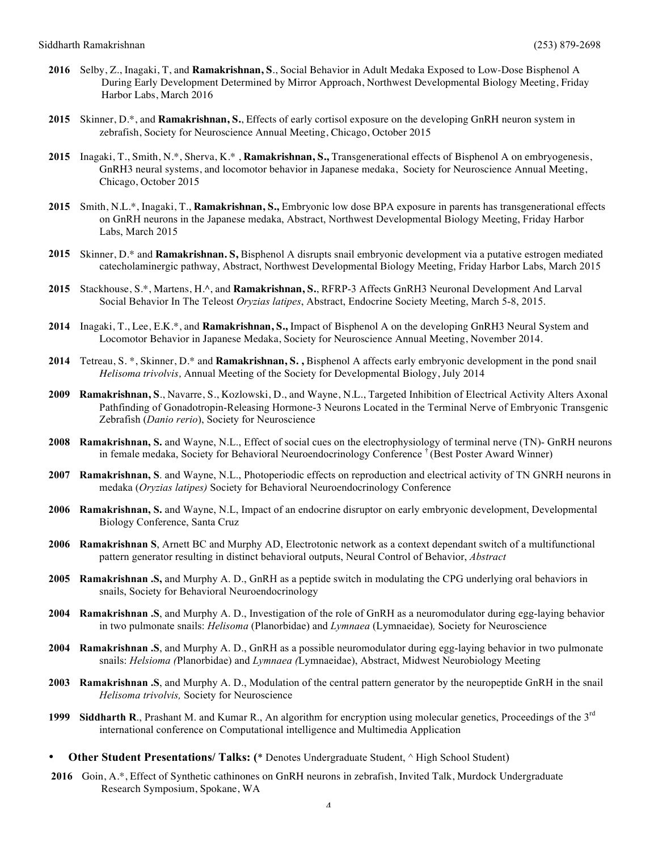- **2016** Selby, Z., Inagaki, T, and **Ramakrishnan, S**., Social Behavior in Adult Medaka Exposed to Low-Dose Bisphenol A During Early Development Determined by Mirror Approach, Northwest Developmental Biology Meeting, Friday Harbor Labs, March 2016
- **2015** Skinner, D.\*, and **Ramakrishnan, S.**, Effects of early cortisol exposure on the developing GnRH neuron system in zebrafish, Society for Neuroscience Annual Meeting, Chicago, October 2015
- **2015** Inagaki, T., Smith, N.\*, Sherva, K.\* , **Ramakrishnan, S.,** Transgenerational effects of Bisphenol A on embryogenesis, GnRH3 neural systems, and locomotor behavior in Japanese medaka, Society for Neuroscience Annual Meeting, Chicago, October 2015
- **2015** Smith, N.L.\*, Inagaki, T., **Ramakrishnan, S.,** Embryonic low dose BPA exposure in parents has transgenerational effects on GnRH neurons in the Japanese medaka, Abstract, Northwest Developmental Biology Meeting, Friday Harbor Labs, March 2015
- **2015** Skinner, D.\* and **Ramakrishnan. S,** Bisphenol A disrupts snail embryonic development via a putative estrogen mediated catecholaminergic pathway, Abstract, Northwest Developmental Biology Meeting, Friday Harbor Labs, March 2015
- **2015** Stackhouse, S.\*, Martens, H.^, and **Ramakrishnan, S.**, RFRP-3 Affects GnRH3 Neuronal Development And Larval Social Behavior In The Teleost *Oryzias latipes*, Abstract, Endocrine Society Meeting, March 5-8, 2015.
- **2014** Inagaki, T., Lee, E.K.\*, and **Ramakrishnan, S.,** Impact of Bisphenol A on the developing GnRH3 Neural System and Locomotor Behavior in Japanese Medaka, Society for Neuroscience Annual Meeting, November 2014.
- **2014** Tetreau, S. \*, Skinner, D.\* and **Ramakrishnan, S. ,** Bisphenol A affects early embryonic development in the pond snail *Helisoma trivolvis,* Annual Meeting of the Society for Developmental Biology, July 2014
- **2009 Ramakrishnan, S**., Navarre, S., Kozlowski, D., and Wayne, N.L., Targeted Inhibition of Electrical Activity Alters Axonal Pathfinding of Gonadotropin-Releasing Hormone-3 Neurons Located in the Terminal Nerve of Embryonic Transgenic Zebrafish (*Danio rerio*), Society for Neuroscience
- **2008 Ramakrishnan, S.** and Wayne, N.L., Effect of social cues on the electrophysiology of terminal nerve (TN)- GnRH neurons in female medaka, Society for Behavioral Neuroendocrinology Conference † (Best Poster Award Winner)
- **2007 Ramakrishnan, S**. and Wayne, N.L., Photoperiodic effects on reproduction and electrical activity of TN GNRH neurons in medaka (*Oryzias latipes)* Society for Behavioral Neuroendocrinology Conference
- **2006 Ramakrishnan, S.** and Wayne, N.L, Impact of an endocrine disruptor on early embryonic development, Developmental Biology Conference, Santa Cruz
- **2006 Ramakrishnan S**, Arnett BC and Murphy AD, Electrotonic network as a context dependant switch of a multifunctional pattern generator resulting in distinct behavioral outputs, Neural Control of Behavior, *Abstract*
- **2005 Ramakrishnan .S,** and Murphy A. D., GnRH as a peptide switch in modulating the CPG underlying oral behaviors in snails, Society for Behavioral Neuroendocrinology
- **2004 Ramakrishnan .S**, and Murphy A. D., Investigation of the role of GnRH as a neuromodulator during egg-laying behavior in two pulmonate snails: *Helisoma* (Planorbidae) and *Lymnaea* (Lymnaeidae)*,* Society for Neuroscience
- **2004 Ramakrishnan .S**, and Murphy A. D., GnRH as a possible neuromodulator during egg-laying behavior in two pulmonate snails: *Helsioma (*Planorbidae) and *Lymnaea (*Lymnaeidae), Abstract, Midwest Neurobiology Meeting
- **2003 Ramakrishnan .S**, and Murphy A. D., Modulation of the central pattern generator by the neuropeptide GnRH in the snail *Helisoma trivolvis,* Society for Neuroscience
- **1999 Siddharth R**., Prashant M. and Kumar R., An algorithm for encryption using molecular genetics, Proceedings of the 3rd international conference on Computational intelligence and Multimedia Application
- **Other Student Presentations/ Talks: (**\* Denotes Undergraduate Student, ^ High School Student)
- **2016** Goin, A.\*, Effect of Synthetic cathinones on GnRH neurons in zebrafish, Invited Talk, Murdock Undergraduate Research Symposium, Spokane, WA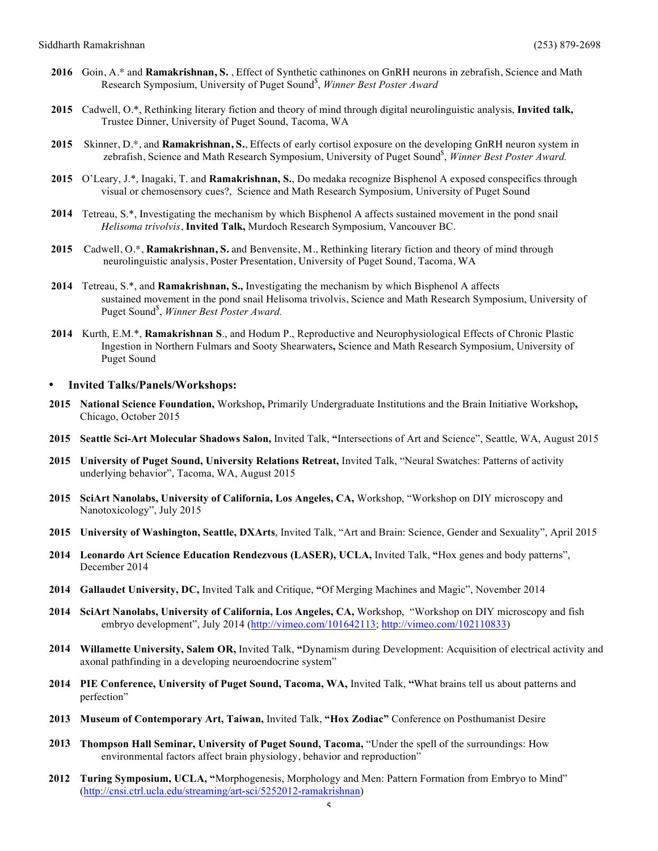- **2016** Goin, A.\* and **Ramakrishnan, S.** , Effect of Synthetic cathinones on GnRH neurons in zebrafish, Science and Math Research Symposium, University of Puget Sound\$ , *Winner Best Poster Award*
- **2015** Cadwell, O.\*, Rethinking literary fiction and theory of mind through digital neurolinguistic analysis, **Invited talk,**  Trustee Dinner, University of Puget Sound, Tacoma, WA
- **2015** Skinner, D.\*, and **Ramakrishnan, S.**, Effects of early cortisol exposure on the developing GnRH neuron system in zebrafish, Science and Math Research Symposium, University of Puget Sound<sup>\$</sup>, Winner Best Poster Award.
- **2015** O'Leary, J.\*, Inagaki, T. and **Ramakrishnan, S.**, Do medaka recognize Bisphenol A exposed conspecifics through visual or chemosensory cues?, Science and Math Research Symposium, University of Puget Sound
- **2014** Tetreau, S.\*, Investigating the mechanism by which Bisphenol A affects sustained movement in the pond snail *Helisoma trivolvis*, **Invited Talk,** Murdoch Research Symposium, Vancouver BC.
- **2015** Cadwell, O.\*, **Ramakrishnan, S.** and Benvensite, M., Rethinking literary fiction and theory of mind through neurolinguistic analysis, Poster Presentation, University of Puget Sound, Tacoma, WA
- **2014** Tetreau, S.\*, and **Ramakrishnan, S.,** Investigating the mechanism by which Bisphenol A affects sustained movement in the pond snail Helisoma trivolvis, Science and Math Research Symposium, University of Puget Sound\$ , *Winner Best Poster Award.*
- **2014** Kurth, E.M.\*, **Ramakrishnan S**., and Hodum P., Reproductive and Neurophysiological Effects of Chronic Plastic Ingestion in Northern Fulmars and Sooty Shearwaters**,** Science and Math Research Symposium, University of Puget Sound

#### • **Invited Talks/Panels/Workshops:**

- **2015 National Science Foundation,** Workshop**,** Primarily Undergraduate Institutions and the Brain Initiative Workshop**,**  Chicago, October 2015
- **2015 Seattle Sci-Art Molecular Shadows Salon,** Invited Talk, **"**Intersections of Art and Science", Seattle, WA, August 2015
- **2015 University of Puget Sound, University Relations Retreat,** Invited Talk, "Neural Swatches: Patterns of activity underlying behavior", Tacoma, WA, August 2015
- **2015 SciArt Nanolabs, University of California, Los Angeles, CA,** Workshop, "Workshop on DIY microscopy and Nanotoxicology", July 2015
- **2015 University of Washington, Seattle, DXArts**, Invited Talk, "Art and Brain: Science, Gender and Sexuality", April 2015
- **2014 Leonardo Art Science Education Rendezvous (LASER), UCLA,** Invited Talk, **"**Hox genes and body patterns", December 2014
- **2014 Gallaudet University, DC,** Invited Talk and Critique, **"**Of Merging Machines and Magic", November 2014
- **2014 SciArt Nanolabs, University of California, Los Angeles, CA,** Workshop, "Workshop on DIY microscopy and fish embryo development", July 2014 (http://vimeo.com/101642113; http://vimeo.com/102110833)
- **2014 Willamette University, Salem OR,** Invited Talk, **"**Dynamism during Development: Acquisition of electrical activity and axonal pathfinding in a developing neuroendocrine system"
- **2014 PIE Conference, University of Puget Sound, Tacoma, WA,** Invited Talk, **"**What brains tell us about patterns and perfection"
- **2013 Museum of Contemporary Art, Taiwan,** Invited Talk, **"Hox Zodiac"** Conference on Posthumanist Desire
- **2013 Thompson Hall Seminar, University of Puget Sound, Tacoma,** "Under the spell of the surroundings: How environmental factors affect brain physiology, behavior and reproduction"
- **2012 Turing Symposium, UCLA, "**Morphogenesis, Morphology and Men: Pattern Formation from Embryo to Mind" (http://cnsi.ctrl.ucla.edu/streaming/art-sci/5252012-ramakrishnan)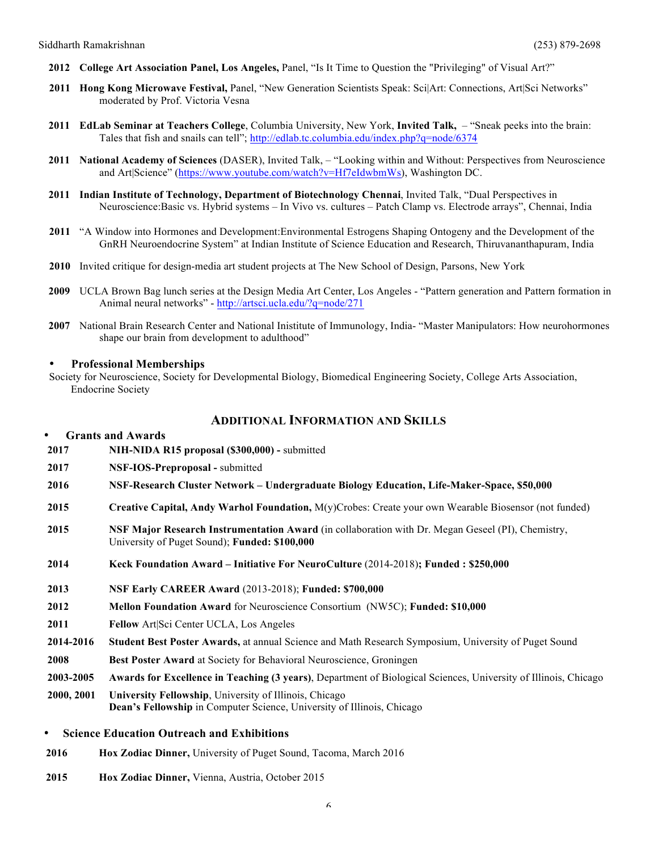- **2012 College Art Association Panel, Los Angeles,** Panel, "Is It Time to Question the "Privileging" of Visual Art?"
- **2011 Hong Kong Microwave Festival,** Panel, "New Generation Scientists Speak: Sci|Art: Connections, Art|Sci Networks" moderated by Prof. Victoria Vesna
- **2011 EdLab Seminar at Teachers College**, Columbia University, New York, **Invited Talk,**  "Sneak peeks into the brain: Tales that fish and snails can tell"; http://edlab.tc.columbia.edu/index.php?q=node/6374
- **2011 National Academy of Sciences** (DASER), Invited Talk, "Looking within and Without: Perspectives from Neuroscience and Art|Science" (https://www.youtube.com/watch?v=Hf7eIdwbmWs), Washington DC.
- **2011 Indian Institute of Technology, Department of Biotechnology Chennai**, Invited Talk, "Dual Perspectives in Neuroscience:Basic vs. Hybrid systems – In Vivo vs. cultures – Patch Clamp vs. Electrode arrays", Chennai, India
- **2011** "A Window into Hormones and Development:Environmental Estrogens Shaping Ontogeny and the Development of the GnRH Neuroendocrine System" at Indian Institute of Science Education and Research, Thiruvananthapuram, India
- **2010** Invited critique for design-media art student projects at The New School of Design, Parsons, New York
- **2009** UCLA Brown Bag lunch series at the Design Media Art Center, Los Angeles "Pattern generation and Pattern formation in Animal neural networks" - http://artsci.ucla.edu/?q=node/271
- **2007** National Brain Research Center and National Inistitute of Immunology, India- "Master Manipulators: How neurohormones shape our brain from development to adulthood"

### • **Professional Memberships**

Society for Neuroscience, Society for Developmental Biology, Biomedical Engineering Society, College Arts Association, Endocrine Society

## **ADDITIONAL INFORMATION AND SKILLS**

| $\bullet$                                                      | <b>Grants and Awards</b>                                                                                                                           |  |  |
|----------------------------------------------------------------|----------------------------------------------------------------------------------------------------------------------------------------------------|--|--|
| 2017                                                           | NIH-NIDA R15 proposal (\$300,000) - submitted                                                                                                      |  |  |
| 2017                                                           | NSF-IOS-Preproposal - submitted                                                                                                                    |  |  |
| 2016                                                           | NSF-Research Cluster Network – Undergraduate Biology Education, Life-Maker-Space, \$50,000                                                         |  |  |
| 2015                                                           | Creative Capital, Andy Warhol Foundation, M(y)Crobes: Create your own Wearable Biosensor (not funded)                                              |  |  |
| 2015                                                           | NSF Major Research Instrumentation Award (in collaboration with Dr. Megan Geseel (PI), Chemistry,<br>University of Puget Sound); Funded: \$100,000 |  |  |
| 2014                                                           | Keck Foundation Award – Initiative For NeuroCulture (2014-2018); Funded : \$250,000                                                                |  |  |
| 2013                                                           | NSF Early CAREER Award (2013-2018); Funded: \$700,000                                                                                              |  |  |
| 2012                                                           | Mellon Foundation Award for Neuroscience Consortium (NW5C); Funded: \$10,000                                                                       |  |  |
| 2011                                                           | Fellow Art Sci Center UCLA, Los Angeles                                                                                                            |  |  |
| 2014-2016                                                      | Student Best Poster Awards, at annual Science and Math Research Symposium, University of Puget Sound                                               |  |  |
| 2008                                                           | Best Poster Award at Society for Behavioral Neuroscience, Groningen                                                                                |  |  |
| 2003-2005                                                      | Awards for Excellence in Teaching (3 years), Department of Biological Sciences, University of Illinois, Chicago                                    |  |  |
| 2000, 2001                                                     | University Fellowship, University of Illinois, Chicago<br><b>Dean's Fellowship in Computer Science, University of Illinois, Chicago</b>            |  |  |
| <b>Science Education Outreach and Exhibitions</b><br>$\bullet$ |                                                                                                                                                    |  |  |
| 2016                                                           | Hox Zodiac Dinner, University of Puget Sound, Tacoma, March 2016                                                                                   |  |  |

**2015 Hox Zodiac Dinner,** Vienna, Austria, October 2015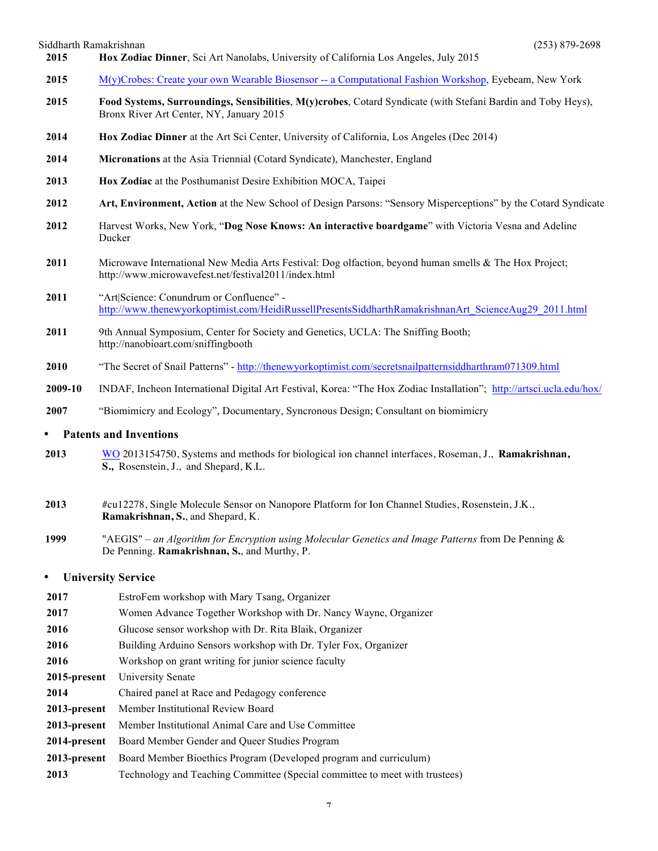Siddharth Ramakrishnan (253) 879-2698

- 2015 M(y)Crobes: Create your own Wearable Biosensor -- a Computational Fashion Workshop, Eyebeam, New York
- **2015 Food Systems, Surroundings, Sensibilities**, **M(y)crobes**, Cotard Syndicate (with Stefani Bardin and Toby Heys), Bronx River Art Center, NY, January 2015
- **2014 Hox Zodiac Dinner** at the Art Sci Center, University of California, Los Angeles (Dec 2014)

**2015 Hox Zodiac Dinner**, Sci Art Nanolabs, University of California Los Angeles, July 2015

- **2014 Micronations** at the Asia Triennial (Cotard Syndicate), Manchester, England
- **2013 Hox Zodiac** at the Posthumanist Desire Exhibition MOCA, Taipei
- **2012 Art, Environment, Action** at the New School of Design Parsons: "Sensory Misperceptions" by the Cotard Syndicate
- **2012** Harvest Works, New York, "**Dog Nose Knows: An interactive boardgame**" with Victoria Vesna and Adeline Ducker
- **2011** Microwave International New Media Arts Festival: Dog olfaction, beyond human smells & The Hox Project; http://www.microwavefest.net/festival2011/index.html
- **2011** "Art|Science: Conundrum or Confluence" http://www.thenewyorkoptimist.com/HeidiRussellPresentsSiddharthRamakrishnanArt\_ScienceAug29\_2011.html
- 2011 9th Annual Symposium, Center for Society and Genetics, UCLA: The Sniffing Booth; http://nanobioart.com/sniffingbooth
- **2010** "The Secret of Snail Patterns" http://thenewyorkoptimist.com/secretsnailpatternsiddharthram071309.html
- **2009-10** INDAF, Incheon International Digital Art Festival, Korea: "The Hox Zodiac Installation"; http://artsci.ucla.edu/hox/
- **2007** "Biomimicry and Ecology", Documentary, Syncronous Design; Consultant on biomimicry

### • **Patents and Inventions**

- **2013** WO 2013154750, Systems and methods for biological ion channel interfaces, Roseman, J., **Ramakrishnan, S.,** Rosenstein, J., and Shepard, K.L.
- **2013** #cu12278, Single Molecule Sensor on Nanopore Platform for Ion Channel Studies, Rosenstein, J.K., **Ramakrishnan, S.**, and Shepard, K.
- **1999** "AEGIS" *an Algorithm for Encryption using Molecular Genetics and Image Patterns* from De Penning & De Penning. **Ramakrishnan, S.**, and Murthy, P.

### • **University Service**

**2017** EstroFem workshop with Mary Tsang, Organizer **2017** Women Advance Together Workshop with Dr. Nancy Wayne, Organizer **2016** Glucose sensor workshop with Dr. Rita Blaik, Organizer **2016** Building Arduino Sensors workshop with Dr. Tyler Fox, Organizer **2016** Workshop on grant writing for junior science faculty **2015-present** University Senate **2014** Chaired panel at Race and Pedagogy conference **2013-present** Member Institutional Review Board **2013-present** Member Institutional Animal Care and Use Committee **2014-present** Board Member Gender and Queer Studies Program **2013-present** Board Member Bioethics Program (Developed program and curriculum) **2013** Technology and Teaching Committee (Special committee to meet with trustees)